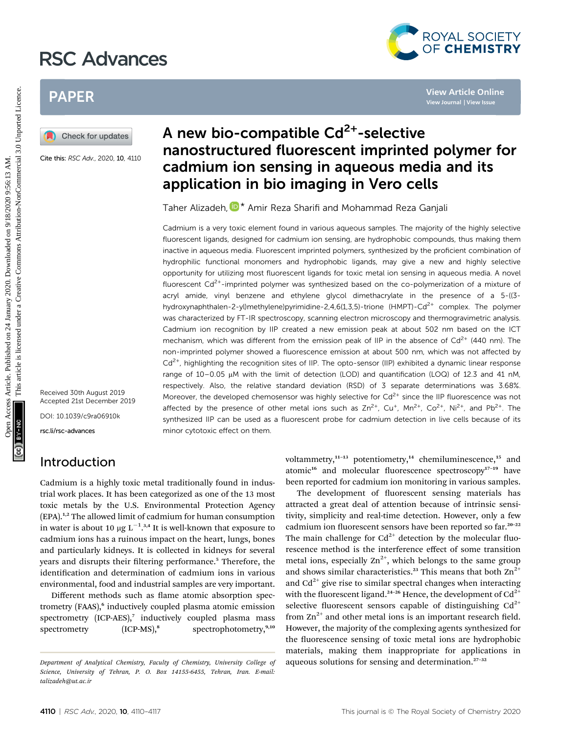# RSC Advances



# PAPER

Cite this: RSC Adv., 2020, 10, 4110

Received 30th August 2019 Accepted 21st December 2019 DOI: 10.1039/c9ra06910k

rsc.li/rsc-advances

## Introduction

Cadmium is a highly toxic metal traditionally found in industrial work places. It has been categorized as one of the 13 most toxic metals by the U.S. Environmental Protection Agency (EPA).1,2 The allowed limit of cadmium for human consumption in water is about 10  $\mu$ g L<sup>-1</sup>.<sup>3,4</sup> It is well-known that exposure to cadmium ions has a ruinous impact on the heart, lungs, bones and particularly kidneys. It is collected in kidneys for several years and disrupts their filtering performance.<sup>5</sup> Therefore, the identification and determination of cadmium ions in various environmental, food and industrial samples are very important.

Different methods such as flame atomic absorption spectrometry (FAAS),<sup>6</sup> inductively coupled plasma atomic emission spectrometry  $[ICP-AES],$ <sup>7</sup> inductively coupled plasma mass spectrometry  $[ICP-MS]$ ,<sup>8</sup> spectrophotometry,<sup>9,10</sup>

# A new bio-compatible  $Cd^{2+}$ -selective nanostructured fluorescent imprinted polymer for cadmium ion sensing in aqueous media and its application in bio imaging in Vero cells

Taher Alizadeh. D<sup>\*</sup> Amir Reza Sharifi and Mohammad Reza Ganjali

Cadmium is a very toxic element found in various aqueous samples. The majority of the highly selective fluorescent ligands, designed for cadmium ion sensing, are hydrophobic compounds, thus making them inactive in aqueous media. Fluorescent imprinted polymers, synthesized by the proficient combination of hydrophilic functional monomers and hydrophobic ligands, may give a new and highly selective opportunity for utilizing most fluorescent ligands for toxic metal ion sensing in aqueous media. A novel fluorescent Cd<sup>2+</sup>-imprinted polymer was synthesized based on the co-polymerization of a mixture of acryl amide, vinyl benzene and ethylene glycol dimethacrylate in the presence of a 5-((3 hydroxynaphthalen-2-yl)methylene)pyrimidine-2,4,6(1,3,5)-trione (HMPT)-Cd<sup>2+</sup> complex. The polymer was characterized by FT-IR spectroscopy, scanning electron microscopy and thermogravimetric analysis. Cadmium ion recognition by IIP created a new emission peak at about 502 nm based on the ICT mechanism, which was different from the emission peak of IIP in the absence of  $Cd^{2+}$  (440 nm). The non-imprinted polymer showed a fluorescence emission at about 500 nm, which was not affected by  $Cd^{2+}$ , highlighting the recognition sites of IIP. The opto-sensor (IIP) exhibited a dynamic linear response range of  $10-0.05$  µM with the limit of detection (LOD) and quantification (LOQ) of 12.3 and 41 nM, respectively. Also, the relative standard deviation (RSD) of 3 separate determinations was 3.68%. Moreover, the developed chemosensor was highly selective for  $Cd^{2+}$  since the IIP fluorescence was not affected by the presence of other metal ions such as  $Zn^{2+}$ ,  $Cu^{+}$ ,  $Mn^{2+}$ ,  $Co^{2+}$ , Ni<sup>2+</sup>, and Pb<sup>2+</sup>. The synthesized IIP can be used as a fluorescent probe for cadmium detection in live cells because of its minor cytotoxic effect on them. PAPER<br> **EXERCT AND A SET AND SET AND SET AND SET AND SET AND SET AND SET AND SET AND SET AND SET AND SET AND SET AND SET AND SET AND SET AND SET AND SET AND SET AND SET AND SET AND SET AND SET AND SET AND SET AND SET AND** 

> voltammetry, $11-13$  potentiometry, $14$  chemiluminescence, $15$  and atomic<sup>16</sup> and molecular fluorescence spectroscopy<sup>17-19</sup> have been reported for cadmium ion monitoring in various samples.

The development of fluorescent sensing materials has attracted a great deal of attention because of intrinsic sensitivity, simplicity and real-time detection. However, only a few cadmium ion fluorescent sensors have been reported so far.<sup>20-22</sup> The main challenge for  $Cd^{2+}$  detection by the molecular fluorescence method is the interference effect of some transition metal ions, especially  $\text{Zn}^{2+}$ , which belongs to the same group and shows similar characteristics.<sup>23</sup> This means that both  $\text{Zn}^{2+}$ and  $Cd^{2+}$  give rise to similar spectral changes when interacting with the fluorescent ligand.<sup>24-26</sup> Hence, the development of  $Cd^{2+}$ selective fluorescent sensors capable of distinguishing  $Cd^{2+}$ from  $\text{Zn}^{2+}$  and other metal ions is an important research field. However, the majority of the complexing agents synthesized for the fluorescence sensing of toxic metal ions are hydrophobic materials, making them inappropriate for applications in Department of Analytical Chemistry, Faculty of Chemistry, University College of aqueous solutions for sensing and determination.<sup>27-32</sup>

Science, University of Tehran, P. O. Box 14155-6455, Tehran, Iran. E-mail: talizadeh@ut.ac.ir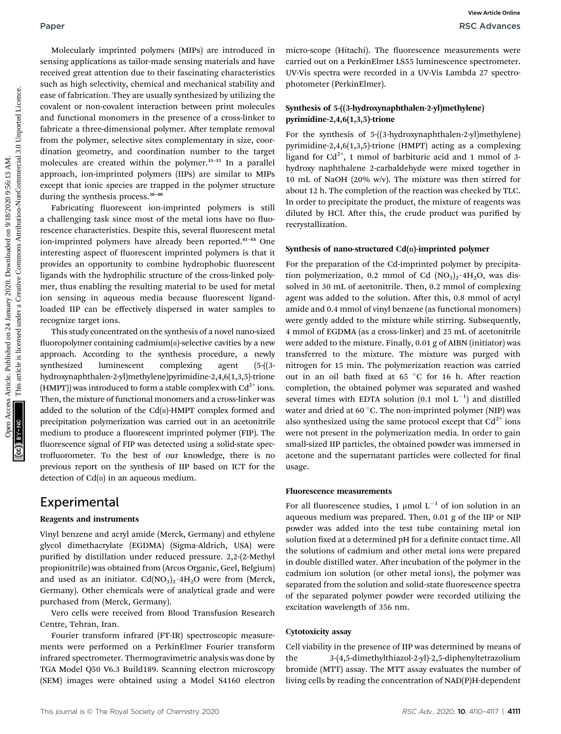Molecularly imprinted polymers (MIPs) are introduced in sensing applications as tailor-made sensing materials and have received great attention due to their fascinating characteristics such as high selectivity, chemical and mechanical stability and ease of fabrication. They are usually synthesized by utilizing the covalent or non-covalent interaction between print molecules and functional monomers in the presence of a cross-linker to fabricate a three-dimensional polymer. After template removal from the polymer, selective sites complementary in size, coordination geometry, and coordination number to the target molecules are created within the polymer.<sup>33-35</sup> In a parallel approach, ion-imprinted polymers (IIPs) are similar to MIPs except that ionic species are trapped in the polymer structure during the synthesis process.<sup>36-40</sup>

Fabricating fluorescent ion-imprinted polymers is still a challenging task since most of the metal ions have no fluorescence characteristics. Despite this, several fluorescent metal ion-imprinted polymers have already been reported.<sup>41-44</sup> One interesting aspect of fluorescent imprinted polymers is that it provides an opportunity to combine hydrophobic fluorescent ligands with the hydrophilic structure of the cross-linked polymer, thus enabling the resulting material to be used for metal ion sensing in aqueous media because fluorescent ligandloaded IIP can be effectively dispersed in water samples to recognize target ions.

This study concentrated on the synthesis of a novel nano-sized fluoropolymer containing cadmium $[n]$ -selective cavities by a new approach. According to the synthesis procedure, a newly synthesized luminescent complexing agent (5-((3 hydroxynaphthalen-2-yl)methylene)pyrimidine-2,4,6(1,3,5)-trione (HMPT)) was introduced to form a stable complex with  $Cd^{2+}$  ions. Then, the mixture of functional monomers and a cross-linker was added to the solution of the  $Cd(n)$ -HMPT complex formed and precipitation polymerization was carried out in an acetonitrile medium to produce a fluorescent imprinted polymer (FIP). The fluorescence signal of FIP was detected using a solid-state spectrofluorometer. To the best of our knowledge, there is no previous report on the synthesis of IIP based on ICT for the detection of  $Cd(n)$  in an aqueous medium.

## Experimental

#### Reagents and instruments

Vinyl benzene and acryl amide (Merck, Germany) and ethylene glycol dimethacrylate (EGDMA) (Sigma-Aldrich, USA) were purified by distillation under reduced pressure. 2,2-(2-Methyl propionitrile) was obtained from (Arcos Organic, Geel, Belgium) and used as an initiator.  $Cd(NO<sub>3</sub>)<sub>2</sub>·4H<sub>2</sub>O$  were from (Merck, Germany). Other chemicals were of analytical grade and were purchased from (Merck, Germany).

Vero cells were received from Blood Transfusion Research Centre, Tehran, Iran.

Fourier transform infrared (FT-IR) spectroscopic measurements were performed on a PerkinElmer Fourier transform infrared spectrometer. Thermogravimetric analysis was done by TGA Model Q50 V6.3 Build189. Scanning electron microscopy (SEM) images were obtained using a Model S4160 electron

micro-scope (Hitachi). The fluorescence measurements were carried out on a PerkinElmer LS55 luminescence spectrometer. UV-Vis spectra were recorded in a UV-Vis Lambda 27 spectrophotometer (PerkinElmer).

### Synthesis of 5-((3-hydroxynaphthalen-2-yl)methylene) pyrimidine-2,4,6(1,3,5)-trione

For the synthesis of 5-((3-hydroxynaphthalen-2-yl)methylene) pyrimidine-2,4,6(1,3,5)-trione (HMPT) acting as a complexing ligand for  $Cd^{2+}$ , 1 mmol of barbituric acid and 1 mmol of 3hydroxy naphthalene 2-carbaldehyde were mixed together in 10 mL of NaOH (20% w/v). The mixture was then stirred for about 12 h. The completion of the reaction was checked by TLC. In order to precipitate the product, the mixture of reagents was diluted by HCl. After this, the crude product was purified by recrystallization.

#### Synthesis of nano-structured  $Cd(n)$ -imprinted polymer

For the preparation of the Cd-imprinted polymer by precipitation polymerization, 0.2 mmol of Cd  $(NO<sub>3</sub>)<sub>2</sub>·4H<sub>2</sub>O$ , was dissolved in 30 mL of acetonitrile. Then, 0.2 mmol of complexing agent was added to the solution. After this, 0.8 mmol of acryl amide and 0.4 mmol of vinyl benzene (as functional monomers) were gently added to the mixture while stirring. Subsequently, 4 mmol of EGDMA (as a cross-linker) and 25 mL of acetonitrile were added to the mixture. Finally, 0.01 g of AIBN (initiator) was transferred to the mixture. The mixture was purged with nitrogen for 15 min. The polymerization reaction was carried out in an oil bath fixed at 65  $^{\circ}$ C for 16 h. After reaction completion, the obtained polymer was separated and washed several times with EDTA solution  $(0.1 \text{ mol L}^{-1})$  and distilled water and dried at 60 $\degree$ C. The non-imprinted polymer (NIP) was also synthesized using the same protocol except that  $Cd^{2+}$  ions were not present in the polymerization media. In order to gain small-sized IIP particles, the obtained powder was immersed in acetone and the supernatant particles were collected for final usage. Paper<br>
Molecularly implied objects (MPs) are included in microscope (Hitachi). The fluorescence measurements were<br>
very approximate the control of the common and the common and the common and the common and the common and

#### Fluorescence measurements

For all fluorescence studies, 1  $\mu$ mol L<sup>-1</sup> of ion solution in an aqueous medium was prepared. Then, 0.01 g of the IIP or NIP powder was added into the test tube containing metal ion solution fixed at a determined pH for a definite contact time. All the solutions of cadmium and other metal ions were prepared in double distilled water. After incubation of the polymer in the cadmium ion solution (or other metal ions), the polymer was separated from the solution and solid-state fluorescence spectra of the separated polymer powder were recorded utilizing the excitation wavelength of 356 nm.

#### Cytotoxicity assay

Cell viability in the presence of IIP was determined by means of the 3-(4,5-dimethylthiazol-2-yl)-2,5-diphenyltetrazolium bromide (MTT) assay. The MTT assay evaluates the number of living cells by reading the concentration of NAD(P)H-dependent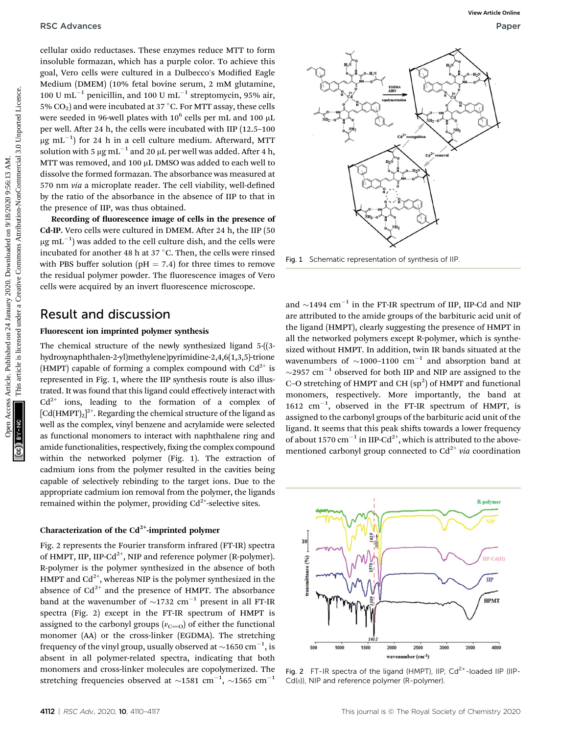cellular oxido reductases. These enzymes reduce MTT to form insoluble formazan, which has a purple color. To achieve this goal, Vero cells were cultured in a Dulbecco's Modified Eagle Medium (DMEM) (10% fetal bovine serum, 2 mM glutamine, 100 U mL<sup>-1</sup> penicillin, and 100 U mL<sup>-1</sup> streptomycin, 95% air, 5%  $CO<sub>2</sub>$ ) and were incubated at 37 °C. For MTT assay, these cells were seeded in 96-well plates with  $10^6$  cells per mL and  $100 \mu$ L per well. After 24 h, the cells were incubated with IIP  $(12.5-100)$  $\mu\mathrm{g\,\,mL}^{-1})$  for 24 h in a cell culture medium. Afterward, MTT solution with 5  $\mu$ g mL<sup>-1</sup> and 20  $\mu$ L per well was added. After 4 h, MTT was removed, and 100 µL DMSO was added to each well to dissolve the formed formazan. The absorbance was measured at 570 nm via a microplate reader. The cell viability, well-defined by the ratio of the absorbance in the absence of IIP to that in the presence of IIP, was thus obtained.

Recording of fluorescence image of cells in the presence of Cd-IP. Vero cells were cultured in DMEM. After 24 h, the IIP (50)  $\mu\mathrm{g\,mL}^{-1})$  was added to the cell culture dish, and the cells were incubated for another 48 h at 37  $\degree$ C. Then, the cells were rinsed with PBS buffer solution ( $pH = 7.4$ ) for three times to remove the residual polymer powder. The fluorescence images of Vero cells were acquired by an invert fluorescence microscope.

## Result and discussion

#### Fluorescent ion imprinted polymer synthesis

The chemical structure of the newly synthesized ligand 5-((3 hydroxynaphthalen-2-yl)methylene)pyrimidine-2,4,6(1,3,5)-trione (HMPT) capable of forming a complex compound with  $Cd^{2+}$  is represented in Fig. 1, where the IIP synthesis route is also illustrated. It was found that this ligand could effectively interact with  $Cd^{2+}$  ions, leading to the formation of a complex of  $[\text{Cd}(\text{H}\text{M}\text{PT})_2]^{2^+}$ . Regarding the chemical structure of the ligand as well as the complex, vinyl benzene and acrylamide were selected as functional monomers to interact with naphthalene ring and amide functionalities, respectively, fixing the complex compound within the networked polymer (Fig. 1). The extraction of cadmium ions from the polymer resulted in the cavities being capable of selectively rebinding to the target ions. Due to the appropriate cadmium ion removal from the polymer, the ligands remained within the polymer, providing  $Cd<sup>2+</sup>$ -selective sites.

#### Characterization of the  $Cd^{2+}$ -imprinted polymer

Fig. 2 represents the Fourier transform infrared (FT-IR) spectra of HMPT, IIP, IIP-Cd<sup>2+</sup>, NIP and reference polymer (R-polymer). R-polymer is the polymer synthesized in the absence of both HMPT and  $Cd^{2+}$ , whereas NIP is the polymer synthesized in the absence of  $Cd^{2+}$  and the presence of HMPT. The absorbance band at the wavenumber of  $\sim$ 1732 cm<sup>-1</sup> present in all FT-IR spectra (Fig. 2) except in the FT-IR spectrum of HMPT is assigned to the carbonyl groups ( $v_{\text{C}=O}$ ) of either the functional monomer (AA) or the cross-linker (EGDMA). The stretching frequency of the vinyl group, usually observed at  $\sim$ 1650 cm $^{-1}$ , is absent in all polymer-related spectra, indicating that both monomers and cross-linker molecules are copolymerized. The stretching frequencies observed at  $\sim$ 1581 cm $^{-1}$ ,  $\sim$ 1565 cm $^{-1}$ 



Fig. 1 Schematic representation of synthesis of IIP.

and  $\sim$ 1494 cm<sup>-1</sup> in the FT-IR spectrum of IIP, IIP-Cd and NIP are attributed to the amide groups of the barbituric acid unit of the ligand (HMPT), clearly suggesting the presence of HMPT in all the networked polymers except R-polymer, which is synthesized without HMPT. In addition, twin IR bands situated at the wavenumbers of  $\sim$ 1000–1100 cm<sup>-1</sup> and absorption band at  $\sim$ 2957 cm<sup>-1</sup> observed for both IIP and NIP are assigned to the C-O stretching of HMPT and CH  $(sp<sup>2</sup>)$  of HMPT and functional monomers, respectively. More importantly, the band at 1612  $\text{cm}^{-1}$ , observed in the FT-IR spectrum of HMPT, is assigned to the carbonyl groups of the barbituric acid unit of the ligand. It seems that this peak shifts towards a lower frequency of about 1570  $cm^{-1}$  in IIP-Cd<sup>2+</sup>, which is attributed to the abovementioned carbonyl group connected to  $Cd^{2+}$  via coordination



Fig. 2 FT-IR spectra of the ligand (HMPT), IIP,  $Cd^{2+}$ -loaded IIP (IIP-Cd(ii)), NIP and reference polymer (R-polymer).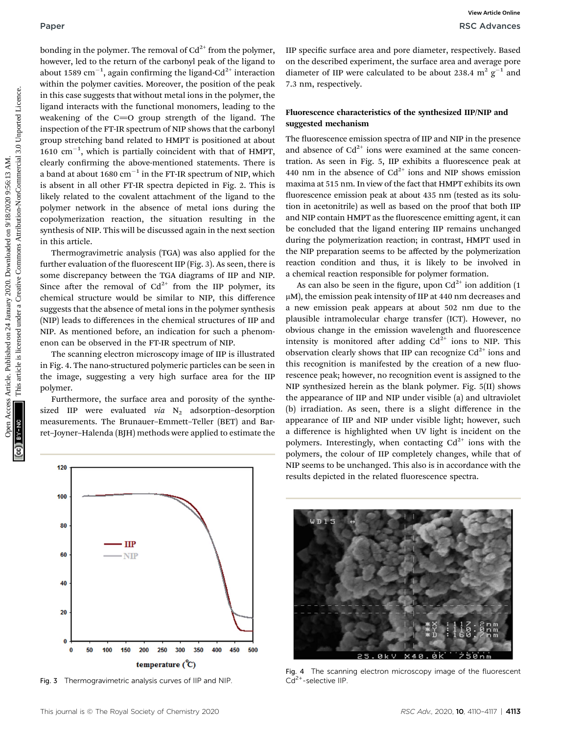bonding in the polymer. The removal of  $Cd^{2+}$  from the polymer, however, led to the return of the carbonyl peak of the ligand to about 1589  $\rm cm^{-1}$ , again confirming the ligand-Cd $^{2+}$  interaction within the polymer cavities. Moreover, the position of the peak in this case suggests that without metal ions in the polymer, the ligand interacts with the functional monomers, leading to the weakening of the  $C=O$  group strength of the ligand. The inspection of the FT-IR spectrum of NIP shows that the carbonyl group stretching band related to HMPT is positioned at about 1610  $\text{cm}^{-1}$ , which is partially coincident with that of HMPT, clearly confirming the above-mentioned statements. There is a band at about 1680  $cm^{-1}$  in the FT-IR spectrum of NIP, which is absent in all other FT-IR spectra depicted in Fig. 2. This is likely related to the covalent attachment of the ligand to the polymer network in the absence of metal ions during the copolymerization reaction, the situation resulting in the synthesis of NIP. This will be discussed again in the next section in this article. Publish in the polymer. The removal of Ga<sup>rc</sup> from the polymer, presenting the second experiment, the second on the second of the second experiment, the second second on the second of the second second and the second and t

Thermogravimetric analysis (TGA) was also applied for the further evaluation of the fluorescent IIP (Fig. 3). As seen, there is some discrepancy between the TGA diagrams of IIP and NIP. Since after the removal of  $Cd^{2+}$  from the IIP polymer, its chemical structure would be similar to NIP, this difference suggests that the absence of metal ions in the polymer synthesis (NIP) leads to differences in the chemical structures of IIP and NIP. As mentioned before, an indication for such a phenomenon can be observed in the FT-IR spectrum of NIP.

The scanning electron microscopy image of IIP is illustrated in Fig. 4. The nano-structured polymeric particles can be seen in the image, suggesting a very high surface area for the IIP polymer.

Furthermore, the surface area and porosity of the synthesized IIP were evaluated via  $N_2$  adsorption–desorption measurements. The Brunauer–Emmett–Teller (BET) and Barret–Joyner–Halenda (BJH) methods were applied to estimate the



#### Fluorescence characteristics of the synthesized IIP/NIP and suggested mechanism

The fluorescence emission spectra of IIP and NIP in the presence and absence of  $Cd^{2+}$  ions were examined at the same concentration. As seen in Fig. 5, IIP exhibits a fluorescence peak at 440 nm in the absence of  $Cd^{2+}$  ions and NIP shows emission maxima at 515 nm. In view of the fact that HMPT exhibits its own fluorescence emission peak at about 435 nm (tested as its solution in acetonitrile) as well as based on the proof that both IIP and NIP contain HMPT as the fluorescence emitting agent, it can be concluded that the ligand entering IIP remains unchanged during the polymerization reaction; in contrast, HMPT used in the NIP preparation seems to be affected by the polymerization reaction condition and thus, it is likely to be involved in a chemical reaction responsible for polymer formation.

As can also be seen in the figure, upon  $Cd^{2+}$  ion addition (1)  $\mu$ M), the emission peak intensity of IIP at 440 nm decreases and a new emission peak appears at about 502 nm due to the plausible intramolecular charge transfer (ICT). However, no obvious change in the emission wavelength and fluorescence intensity is monitored after adding  $Cd^{2+}$  ions to NIP. This observation clearly shows that IIP can recognize  $Cd^{2+}$  ions and this recognition is manifested by the creation of a new fluorescence peak; however, no recognition event is assigned to the NIP synthesized herein as the blank polymer. Fig. 5(II) shows the appearance of IIP and NIP under visible (a) and ultraviolet (b) irradiation. As seen, there is a slight difference in the appearance of IIP and NIP under visible light; however, such a difference is highlighted when UV light is incident on the polymers. Interestingly, when contacting  $Cd^{2+}$  ions with the polymers, the colour of IIP completely changes, while that of NIP seems to be unchanged. This also is in accordance with the results depicted in the related fluorescence spectra.



Fig. 3 Thermogravimetric analysis curves of IIP and NIP.



Fig. 4 The scanning electron microscopy image of the fluorescent  $Cd<sup>2+</sup>$ -selective IIP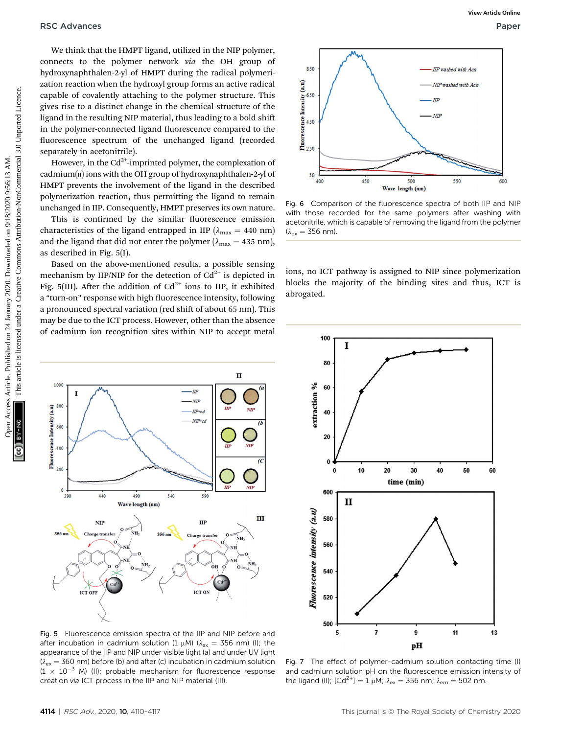We think that the HMPT ligand, utilized in the NIP polymer, connects to the polymer network via the OH group of hydroxynaphthalen-2-yl of HMPT during the radical polymerization reaction when the hydroxyl group forms an active radical capable of covalently attaching to the polymer structure. This gives rise to a distinct change in the chemical structure of the ligand in the resulting NIP material, thus leading to a bold shi in the polymer-connected ligand fluorescence compared to the fluorescence spectrum of the unchanged ligand (recorded separately in acetonitrile).

However, in the  $Cd^{2+}$ -imprinted polymer, the complexation of  $cadmium(n)$  ions with the OH group of hydroxynaphthalen-2-yl of HMPT prevents the involvement of the ligand in the described polymerization reaction, thus permitting the ligand to remain unchanged in IIP. Consequently, HMPT preserves its own nature.

This is confirmed by the similar fluorescence emission characteristics of the ligand entrapped in IIP ( $\lambda_{\text{max}} = 440 \text{ nm}$ ) and the ligand that did not enter the polymer ( $\lambda_{\text{max}} = 435$  nm), as described in Fig. 5(I).

Based on the above-mentioned results, a possible sensing mechanism by IIP/NIP for the detection of  $Cd^{2+}$  is depicted in Fig. 5(III). After the addition of  $Cd^{2+}$  ions to IIP, it exhibited a "turn-on" response with high fluorescence intensity, following a pronounced spectral variation (red shift of about 65 nm). This may be due to the ICT process. However, other than the absence of cadmium ion recognition sites within NIP to accept metal



Fig. 6 Comparison of the fluorescence spectra of both IIP and NIP with those recorded for the same polymers after washing with acetonitrile, which is capable of removing the ligand from the polymer  $(\lambda_{\rm ex} = 356$  nm).

ions, no ICT pathway is assigned to NIP since polymerization blocks the majority of the binding sites and thus, ICT is abrogated.





Fig. 5 Fluorescence emission spectra of the IIP and NIP before and after incubation in cadmium solution (1  $\mu$ M) ( $\lambda_{ex}$  = 356 nm) (I); the appearance of the IIP and NIP under visible light (a) and under UV light  $(\lambda_{\rm ex} = 360$  nm) before (b) and after (c) incubation in cadmium solution  $(1 \times 10^{-3}$  M) (II); probable mechanism for fluorescence response creation via ICT process in the IIP and NIP material (III).

Fig. 7 The effect of polymer-cadmium solution contacting time (I) and cadmium solution pH on the fluorescence emission intensity of the ligand (II);  $[Cd^{2+}] = 1 \mu M$ ;  $\lambda_{ex} = 356 \text{ nm}$ ;  $\lambda_{em} = 502 \text{ nm}$ .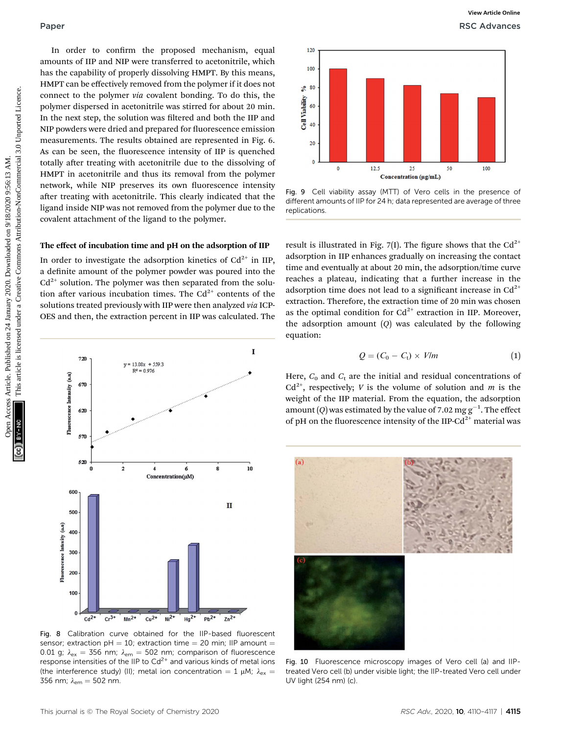In order to confirm the proposed mechanism, equal amounts of IIP and NIP were transferred to acetonitrile, which has the capability of properly dissolving HMPT. By this means, HMPT can be effectively removed from the polymer if it does not connect to the polymer via covalent bonding. To do this, the polymer dispersed in acetonitrile was stirred for about 20 min. In the next step, the solution was filtered and both the IIP and NIP powders were dried and prepared for fluorescence emission measurements. The results obtained are represented in Fig. 6. As can be seen, the fluorescence intensity of IIP is quenched totally after treating with acetonitrile due to the dissolving of HMPT in acetonitrile and thus its removal from the polymer network, while NIP preserves its own fluorescence intensity after treating with acetonitrile. This clearly indicated that the ligand inside NIP was not removed from the polymer due to the covalent attachment of the ligand to the polymer. **Paper**<br> **Conservation** Access Article and Theorem are the conservations and the substitution of the substitution of the substitution of the substitution of the substitution-Noncommercial Section Articles. The common arti

#### The effect of incubation time and pH on the adsorption of IIP

In order to investigate the adsorption kinetics of  $Cd^{2+}$  in IIP, a definite amount of the polymer powder was poured into the  $Cd<sup>2+</sup>$  solution. The polymer was then separated from the solution after various incubation times. The  $Cd^{2+}$  contents of the solutions treated previously with IIP were then analyzed via ICP-OES and then, the extraction percent in IIP was calculated. The



Fig. 8 Calibration curve obtained for the IIP-based fluorescent sensor; extraction pH = 10; extraction time = 20 min; IIP amount = 0.01 g;  $\lambda_{\text{ex}} = 356$  nm;  $\lambda_{\text{em}} = 502$  nm; comparison of fluorescence response intensities of the IIP to  $Cd^{2+}$  and various kinds of metal ions (the interference study) (II); metal ion concentration = 1  $\mu$ M;  $\lambda_{ex}$  = 356 nm;  $\lambda_{\text{em}} = 502$  nm.



Fig. 9 Cell viability assay (MTT) of Vero cells in the presence of different amounts of IIP for 24 h; data represented are average of three replications.

result is illustrated in Fig. 7(I). The figure shows that the  $Cd^{2+}$ adsorption in IIP enhances gradually on increasing the contact time and eventually at about 20 min, the adsorption/time curve reaches a plateau, indicating that a further increase in the adsorption time does not lead to a significant increase in  $Cd<sup>2+</sup>$ extraction. Therefore, the extraction time of 20 min was chosen as the optimal condition for  $Cd^{2+}$  extraction in IIP. Moreover, the adsorption amount  $(Q)$  was calculated by the following equation:

$$
Q = (C_0 - C_1) \times V/m \tag{1}
$$

Here,  $C_0$  and  $C_t$  are the initial and residual concentrations of  $Cd^{2+}$ , respectively; *V* is the volume of solution and *m* is the weight of the IIP material. From the equation, the adsorption amount (Q) was estimated by the value of 7.02  $\mathrm{mg\,g}^{-1}.$  The effect of pH on the fluorescence intensity of the IIP-Cd<sup>2+</sup> material was



Fig. 10 Fluorescence microscopy images of Vero cell (a) and IIPtreated Vero cell (b) under visible light; the IIP-treated Vero cell under UV light (254 nm) (c).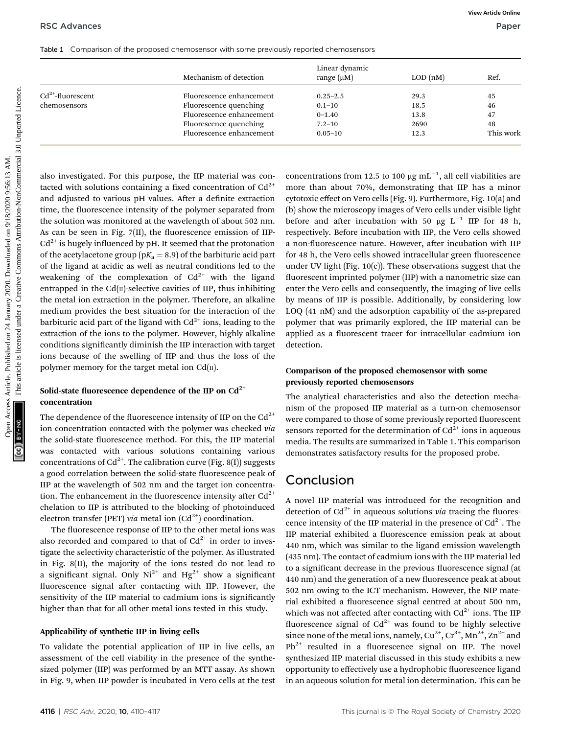Table 1 Comparison of the proposed chemosensor with some previously reported chemosensors

|                        | Mechanism of detection   | Linear dynamic<br>range $(\mu M)$ | $LOD$ $(nM)$ | Ref.      |
|------------------------|--------------------------|-----------------------------------|--------------|-----------|
| $Cd^{2+}$ -fluorescent | Fluorescence enhancement | $0.25 - 2.5$                      | 29.3         | 45        |
| chemosensors           | Fluorescence quenching   | $0.1 - 10$                        | 18.5         | 46        |
|                        | Fluorescence enhancement | $0 - 1.40$                        | 13.8         | 47        |
|                        | Fluorescence quenching   | $7.2 - 10$                        | 2690         | 48        |
|                        | Fluorescence enhancement | $0.05 - 10$                       | 12.3         | This work |

also investigated. For this purpose, the IIP material was contacted with solutions containing a fixed concentration of  $Cd^{2+}$ and adjusted to various pH values. After a definite extraction time, the fluorescence intensity of the polymer separated from the solution was monitored at the wavelength of about 502 nm. As can be seen in Fig.  $7(II)$ , the fluorescence emission of IIP- $Cd^{2+}$  is hugely influenced by pH. It seemed that the protonation of the acetylacetone group ( $pK_a = 8.9$ ) of the barbituric acid part of the ligand at acidic as well as neutral conditions led to the weakening of the complexation of  $Cd^{2+}$  with the ligand entrapped in the  $Cd(n)$ -selective cavities of IIP, thus inhibiting the metal ion extraction in the polymer. Therefore, an alkaline medium provides the best situation for the interaction of the barbituric acid part of the ligand with  $Cd^{2+}$  ions, leading to the extraction of the ions to the polymer. However, highly alkaline conditions signicantly diminish the IIP interaction with target ions because of the swelling of IIP and thus the loss of the polymer memory for the target metal ion  $Cd(n)$ . **PSC Advances**<br> **Table 1** Compatibon of the proposed chemics article is are compatible. This are compatibon of the common access Article is licensed under a creative Commons are the common access Article is licensed under

### Solid-state fluorescence dependence of the IIP on  $Cd^{2+}$ concentration

The dependence of the fluorescence intensity of IIP on the  $Cd^{2+}$ ion concentration contacted with the polymer was checked via the solid-state fluorescence method. For this, the IIP material was contacted with various solutions containing various concentrations of  $Cd^{2+}$ . The calibration curve (Fig. 8(I)) suggests a good correlation between the solid-state fluorescence peak of IIP at the wavelength of 502 nm and the target ion concentration. The enhancement in the fluorescence intensity after  $Cd^{2+}$ chelation to IIP is attributed to the blocking of photoinduced electron transfer (PET) via metal ion  $(Cd^{2+})$  coordination.

The fluorescence response of IIP to the other metal ions was also recorded and compared to that of  $Cd^{2+}$  in order to investigate the selectivity characteristic of the polymer. As illustrated in Fig. 8(II), the majority of the ions tested do not lead to a significant signal. Only  $Ni^{2+}$  and  $Hg^{2+}$  show a significant fluorescence signal after contacting with IIP. However, the sensitivity of the IIP material to cadmium ions is significantly higher than that for all other metal ions tested in this study.

#### Applicability of synthetic IIP in living cells

To validate the potential application of IIP in live cells, an assessment of the cell viability in the presence of the synthesized polymer (IIP) was performed by an MTT assay. As shown in Fig. 9, when IIP powder is incubated in Vero cells at the test

concentrations from 12.5 to 100  $\mu$ g mL<sup>-1</sup>, all cell viabilities are more than about 70%, demonstrating that IIP has a minor cytotoxic effect on Vero cells (Fig. 9). Furthermore, Fig. 10(a) and (b) show the microscopy images of Vero cells under visible light before and after incubation with 50  $\mu$ g L<sup>-1</sup> IIP for 48 h, respectively. Before incubation with IIP, the Vero cells showed a non-fluorescence nature. However, after incubation with IIP for 48 h, the Vero cells showed intracellular green fluorescence under UV light (Fig. 10(c)). These observations suggest that the fluorescent imprinted polymer (IIP) with a nanometric size can enter the Vero cells and consequently, the imaging of live cells by means of IIP is possible. Additionally, by considering low LOQ (41 nM) and the adsorption capability of the as-prepared polymer that was primarily explored, the IIP material can be applied as a fluorescent tracer for intracellular cadmium ion detection.

### Comparison of the proposed chemosensor with some previously reported chemosensors

The analytical characteristics and also the detection mechanism of the proposed IIP material as a turn-on chemosensor were compared to those of some previously reported fluorescent sensors reported for the determination of  $Cd^{2+}$  ions in aqueous media. The results are summarized in Table 1. This comparison demonstrates satisfactory results for the proposed probe.

# Conclusion

A novel IIP material was introduced for the recognition and detection of  $Cd^{2+}$  in aqueous solutions *via* tracing the fluorescence intensity of the IIP material in the presence of  $Cd^{2+}$ . The IIP material exhibited a fluorescence emission peak at about 440 nm, which was similar to the ligand emission wavelength (435 nm). The contact of cadmium ions with the IIP material led to a significant decrease in the previous fluorescence signal (at 440 nm) and the generation of a new fluorescence peak at about 502 nm owing to the ICT mechanism. However, the NIP material exhibited a fluorescence signal centred at about 500 nm, which was not affected after contacting with  $Cd^{2+}$  ions. The IIP fluorescence signal of  $Cd^{2+}$  was found to be highly selective since none of the metal ions, namely,  $Cu^{2+}$ ,  $Cr^{3+}$ ,  $Mn^{2+}$ ,  $Zn^{2+}$  and  $Pb^{2+}$  resulted in a fluorescence signal on IIP. The novel synthesized IIP material discussed in this study exhibits a new opportunity to effectively use a hydrophobic fluorescence ligand in an aqueous solution for metal ion determination. This can be